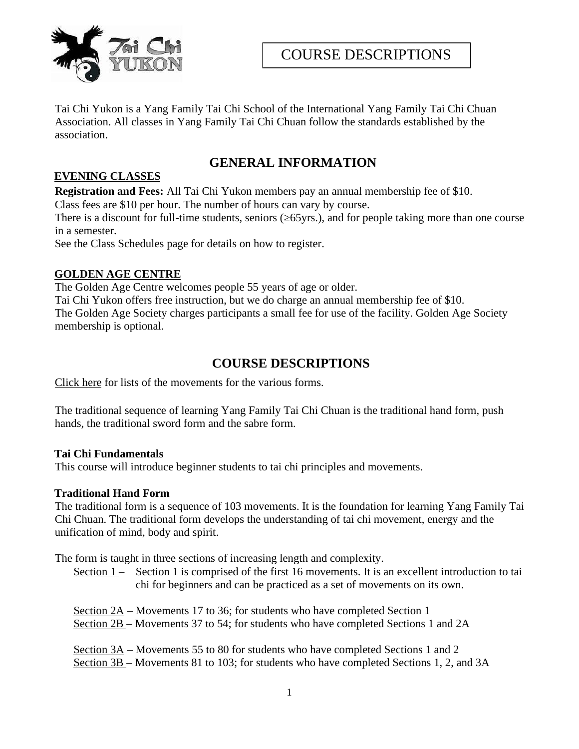

Tai Chi Yukon is a Yang Family Tai Chi School of the International Yang Family Tai Chi Chuan Association. All classes in Yang Family Tai Chi Chuan follow the standards established by the association.

## **GENERAL INFORMATION**

## **EVENING CLASSES**

**Registration and Fees:** All Tai Chi Yukon members pay an annual membership fee of \$10.

Class fees are \$10 per hour. The number of hours can vary by course.

There is a discount for full-time students, seniors ( $65yrs$ .), and for people taking more than one course in a semester.

See the Class Schedules page for details on how to register.

### **GOLDEN AGE CENTRE**

The Golden Age Centre welcomes people 55 years of age or older.

Tai Chi Yukon offers free instruction, but we do charge an annual membership fee of \$10. The Golden Age Society charges participants a small fee for use of the facility. Golden Age Society membership is optional.

# **COURSE DESCRIPTIONS**

Click here for lists of the movements for the various forms.

The traditional sequence of learning Yang Family Tai Chi Chuan is the traditional hand form, push hands, the traditional sword form and the sabre form.

### **Tai Chi Fundamentals**

This course will introduce beginner students to tai chi principles and movements.

### **Traditional Hand Form**

The traditional form is a sequence of 103 movements. It is the foundation for learning Yang Family Tai Chi Chuan. The traditional form develops the understanding of tai chi movement, energy and the unification of mind, body and spirit.

The form is taught in three sections of increasing length and complexity.

Section  $1$  – Section 1 is comprised of the first 16 movements. It is an excellent introduction to tai chi for beginners and can be practiced as a set of movements on its own.

- Section 2A Movements 17 to 36; for students who have completed Section 1
- Section 2B Movements 37 to 54; for students who have completed Sections 1 and 2A

Section  $3A$  – Movements 55 to 80 for students who have completed Sections 1 and 2 Section 3B – Movements 81 to 103; for students who have completed Sections 1, 2, and 3A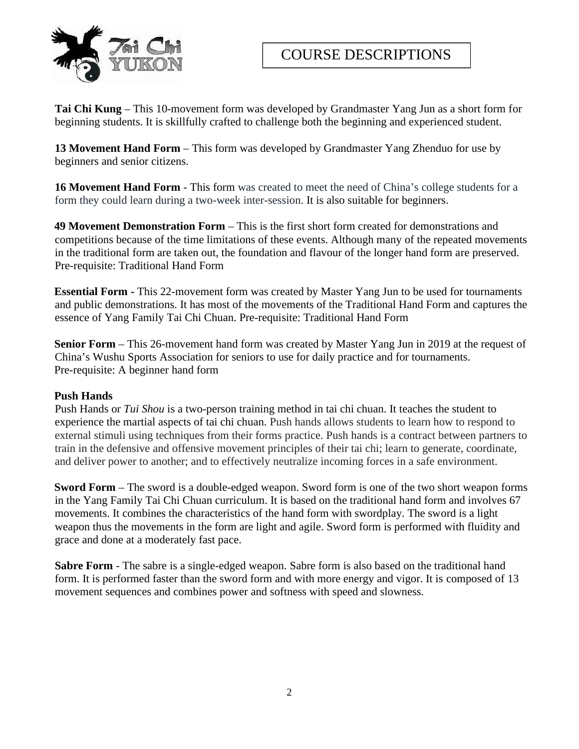

**Tai Chi Kung** – This 10-movement form was developed by Grandmaster Yang Jun as a short form for beginning students. It is skillfully crafted to challenge both the beginning and experienced student.

**13 Movement Hand Form** – This form was developed by Grandmaster Yang Zhenduo for use by beginners and senior citizens.

16 Movement Hand Form - This form was created to meet the need of China's college students for a form they could learn during a two-week inter-session. It is also suitable for beginners.

**49 Movement Demonstration Form** – This is the first short form created for demonstrations and competitions because of the time limitations of these events. Although many of the repeated movements in the traditional form are taken out, the foundation and flavour of the longer hand form are preserved. Pre-requisite: Traditional Hand Form

**Essential Form -** This 22-movement form was created by Master Yang Jun to be used for tournaments and public demonstrations. It has most of the movements of the Traditional Hand Form and captures the essence of Yang Family Tai Chi Chuan. Pre-requisite: Traditional Hand Form

**Senior Form** – This 26-movement hand form was created by Master Yang Jun in 2019 at the request of China's Wushu Sports Association for seniors to use for daily practice and for tournaments. Pre-requisite: A beginner hand form

### **Push Hands**

Push Hands or *Tui Shou* is a two-person training method in tai chi chuan. It teaches the student to experience the martial aspects of tai chi chuan. Push hands allows students to learn how to respond to external stimuli using techniques from their forms practice. Push hands is a contract between partners to train in the defensive and offensive movement principles of their tai chi; learn to generate, coordinate, and deliver power to another; and to effectively neutralize incoming forces in a safe environment.

**Sword Form** – The sword is a double-edged weapon. Sword form is one of the two short weapon forms in the Yang Family Tai Chi Chuan curriculum. It is based on the traditional hand form and involves 67 movements. It combines the characteristics of the hand form with swordplay. The sword is a light weapon thus the movements in the form are light and agile. Sword form is performed with fluidity and grace and done at a moderately fast pace.

**Sabre Form** - The sabre is a single-edged weapon. Sabre form is also based on the traditional hand form. It is performed faster than the sword form and with more energy and vigor. It is composed of 13 movement sequences and combines power and softness with speed and slowness.